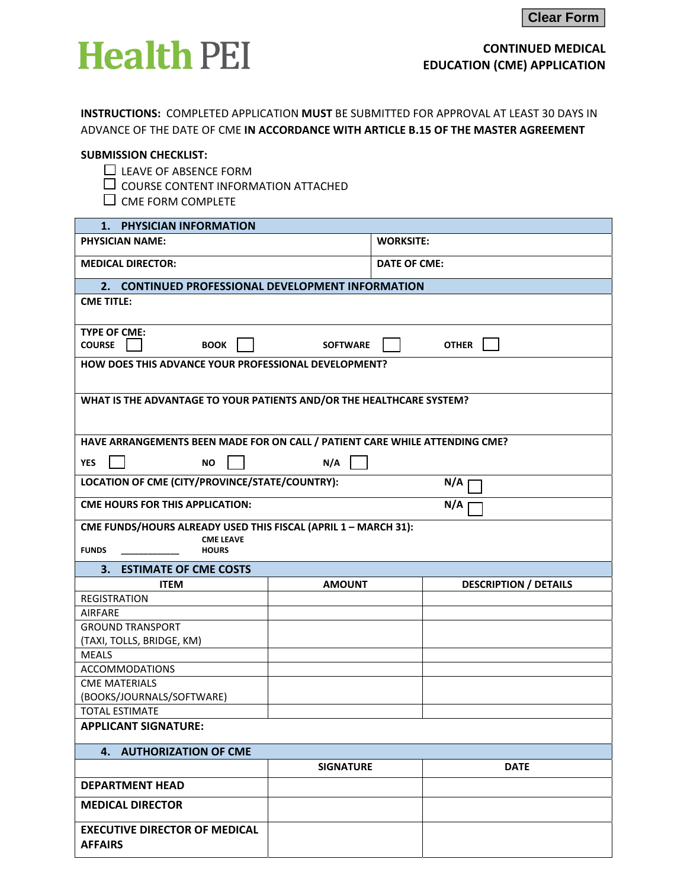

# **CONTINUED MEDICAL EDUCATION (CME) APPLICATION**

**INSTRUCTIONS:** COMPLETED APPLICATION **MUST** BE SUBMITTED FOR APPROVAL AT LEAST 30 DAYS IN ADVANCE OF THE DATE OF CME **IN ACCORDANCE WITH ARTICLE B.15 OF THE MASTER AGREEMENT**

#### **SUBMISSION CHECKLIST:**

- $\square$  LEAVE OF ABSENCE FORM
- $\overline{\Box}$  COURSE CONTENT INFORMATION ATTACHED
- $\square$  CME FORM COMPLETE

| 1. PHYSICIAN INFORMATION                                                               |                                                       |                              |  |  |  |  |
|----------------------------------------------------------------------------------------|-------------------------------------------------------|------------------------------|--|--|--|--|
| <b>PHYSICIAN NAME:</b>                                                                 |                                                       | <b>WORKSITE:</b>             |  |  |  |  |
| <b>MEDICAL DIRECTOR:</b>                                                               |                                                       | <b>DATE OF CME:</b>          |  |  |  |  |
| 2. CONTINUED PROFESSIONAL DEVELOPMENT INFORMATION                                      |                                                       |                              |  |  |  |  |
| <b>CME TITLE:</b>                                                                      |                                                       |                              |  |  |  |  |
| <b>TYPE OF CME:</b><br><b>COURSE</b><br><b>BOOK</b><br><b>OTHER</b><br><b>SOFTWARE</b> |                                                       |                              |  |  |  |  |
| HOW DOES THIS ADVANCE YOUR PROFESSIONAL DEVELOPMENT?                                   |                                                       |                              |  |  |  |  |
| WHAT IS THE ADVANTAGE TO YOUR PATIENTS AND/OR THE HEALTHCARE SYSTEM?                   |                                                       |                              |  |  |  |  |
| HAVE ARRANGEMENTS BEEN MADE FOR ON CALL / PATIENT CARE WHILE ATTENDING CME?            |                                                       |                              |  |  |  |  |
| <b>YES</b><br><b>NO</b>                                                                | N/A                                                   |                              |  |  |  |  |
|                                                                                        | LOCATION OF CME (CITY/PROVINCE/STATE/COUNTRY):<br>N/A |                              |  |  |  |  |
| <b>CME HOURS FOR THIS APPLICATION:</b>                                                 |                                                       | N/A                          |  |  |  |  |
| CME FUNDS/HOURS ALREADY USED THIS FISCAL (APRIL 1 - MARCH 31):                         |                                                       |                              |  |  |  |  |
| <b>CME LEAVE</b><br><b>FUNDS</b><br><b>HOURS</b>                                       |                                                       |                              |  |  |  |  |
|                                                                                        |                                                       |                              |  |  |  |  |
| 3. ESTIMATE OF CME COSTS                                                               |                                                       |                              |  |  |  |  |
| <b>ITEM</b><br><b>REGISTRATION</b>                                                     | <b>AMOUNT</b>                                         | <b>DESCRIPTION / DETAILS</b> |  |  |  |  |
| <b>AIRFARE</b>                                                                         |                                                       |                              |  |  |  |  |
| <b>GROUND TRANSPORT</b>                                                                |                                                       |                              |  |  |  |  |
| (TAXI, TOLLS, BRIDGE, KM)                                                              |                                                       |                              |  |  |  |  |
| <b>MEALS</b>                                                                           |                                                       |                              |  |  |  |  |
| <b>ACCOMMODATIONS</b>                                                                  |                                                       |                              |  |  |  |  |
| <b>CME MATERIALS</b>                                                                   |                                                       |                              |  |  |  |  |
| (BOOKS/JOURNALS/SOFTWARE)                                                              |                                                       |                              |  |  |  |  |
| <b>TOTAL ESTIMATE</b>                                                                  |                                                       |                              |  |  |  |  |
| <b>APPLICANT SIGNATURE:</b>                                                            |                                                       |                              |  |  |  |  |
| 4. AUTHORIZATION OF CME                                                                |                                                       |                              |  |  |  |  |
|                                                                                        | <b>SIGNATURE</b>                                      | <b>DATE</b>                  |  |  |  |  |
| <b>DEPARTMENT HEAD</b>                                                                 |                                                       |                              |  |  |  |  |
| <b>MEDICAL DIRECTOR</b>                                                                |                                                       |                              |  |  |  |  |
| <b>EXECUTIVE DIRECTOR OF MEDICAL</b><br><b>AFFAIRS</b>                                 |                                                       |                              |  |  |  |  |